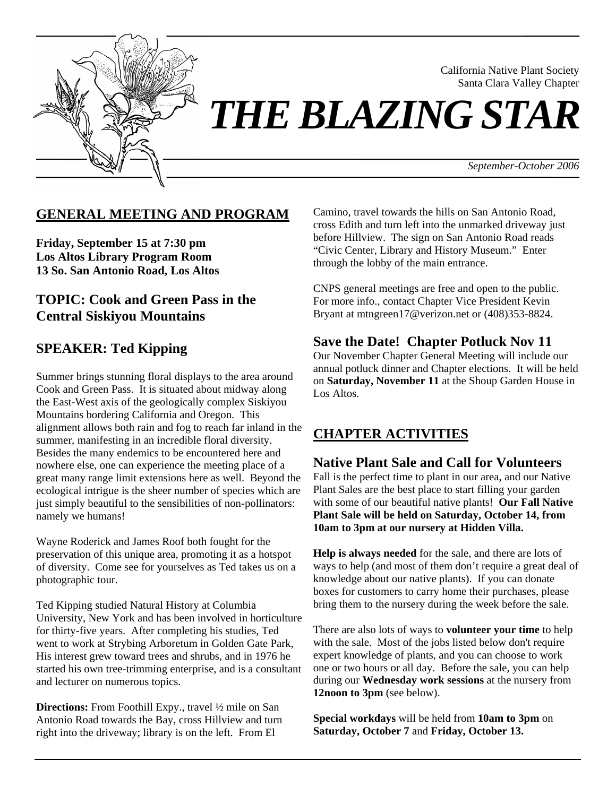

California Native Plant Society Santa Clara Valley Chapter

*THE BLAZING STAR* 

*September-October 2006*

## **GENERAL MEETING AND PROGRAM**

**Friday, September 15 at 7:30 pm Los Altos Library Program Room 13 So. San Antonio Road, Los Altos** 

## **TOPIC: Cook and Green Pass in the Central Siskiyou Mountains**

# **SPEAKER: Ted Kipping**

Summer brings stunning floral displays to the area around Cook and Green Pass. It is situated about midway along the East-West axis of the geologically complex Siskiyou Mountains bordering California and Oregon. This alignment allows both rain and fog to reach far inland in the summer, manifesting in an incredible floral diversity. Besides the many endemics to be encountered here and nowhere else, one can experience the meeting place of a great many range limit extensions here as well. Beyond the ecological intrigue is the sheer number of species which are just simply beautiful to the sensibilities of non-pollinators: namely we humans!

Wayne Roderick and James Roof both fought for the preservation of this unique area, promoting it as a hotspot of diversity. Come see for yourselves as Ted takes us on a photographic tour.

Ted Kipping studied Natural History at Columbia University, New York and has been involved in horticulture for thirty-five years. After completing his studies, Ted went to work at Strybing Arboretum in Golden Gate Park, His interest grew toward trees and shrubs, and in 1976 he started his own tree-trimming enterprise, and is a consultant and lecturer on numerous topics.

**Directions:** From Foothill Expy., travel ½ mile on San Antonio Road towards the Bay, cross Hillview and turn right into the driveway; library is on the left. From El

Camino, travel towards the hills on San Antonio Road, cross Edith and turn left into the unmarked driveway just before Hillview. The sign on San Antonio Road reads "Civic Center, Library and History Museum." Enter through the lobby of the main entrance.

CNPS general meetings are free and open to the public. For more info., contact Chapter Vice President Kevin Bryant at mtngreen17@verizon.net or (408)353-8824.

## **Save the Date! Chapter Potluck Nov 11**

Our November Chapter General Meeting will include our annual potluck dinner and Chapter elections. It will be held on **Saturday, November 11** at the Shoup Garden House in Los Altos.

# **CHAPTER ACTIVITIES**

### **Native Plant Sale and Call for Volunteers**

Fall is the perfect time to plant in our area, and our Native Plant Sales are the best place to start filling your garden with some of our beautiful native plants! **Our Fall Native Plant Sale will be held on Saturday, October 14, from 10am to 3pm at our nursery at Hidden Villa.**

**Help is always needed** for the sale, and there are lots of ways to help (and most of them don't require a great deal of knowledge about our native plants). If you can donate boxes for customers to carry home their purchases, please bring them to the nursery during the week before the sale.

There are also lots of ways to **volunteer your time** to help with the sale. Most of the jobs listed below don't require expert knowledge of plants, and you can choose to work one or two hours or all day. Before the sale, you can help during our **Wednesday work sessions** at the nursery from **12noon to 3pm** (see below).

**Special workdays** will be held from **10am to 3pm** on **Saturday, October 7** and **Friday, October 13.**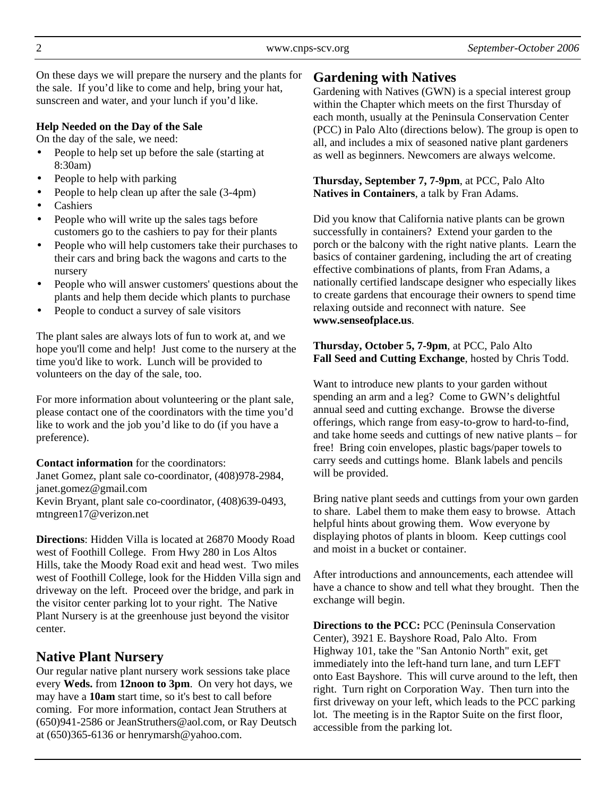On these days we will prepare the nursery and the plants for the sale. If you'd like to come and help, bring your hat, sunscreen and water, and your lunch if you'd like.

#### **Help Needed on the Day of the Sale**

On the day of the sale, we need:

- People to help set up before the sale (starting at 8:30am)
- People to help with parking
- People to help clean up after the sale (3-4pm)
- Cashiers
- People who will write up the sales tags before customers go to the cashiers to pay for their plants
- People who will help customers take their purchases to their cars and bring back the wagons and carts to the nursery
- People who will answer customers' questions about the plants and help them decide which plants to purchase
- People to conduct a survey of sale visitors

The plant sales are always lots of fun to work at, and we hope you'll come and help! Just come to the nursery at the time you'd like to work. Lunch will be provided to volunteers on the day of the sale, too.

For more information about volunteering or the plant sale, please contact one of the coordinators with the time you'd like to work and the job you'd like to do (if you have a preference).

#### **Contact information** for the coordinators:

Janet Gomez, plant sale co-coordinator, (408)978-2984, janet.gomez@gmail.com Kevin Bryant, plant sale co-coordinator, (408)639-0493, mtngreen17@verizon.net

**Directions**: Hidden Villa is located at 26870 Moody Road west of Foothill College. From Hwy 280 in Los Altos Hills, take the Moody Road exit and head west. Two miles west of Foothill College, look for the Hidden Villa sign and driveway on the left. Proceed over the bridge, and park in the visitor center parking lot to your right. The Native Plant Nursery is at the greenhouse just beyond the visitor center.

## **Native Plant Nursery**

Our regular native plant nursery work sessions take place every **Weds.** from **12noon to 3pm**. On very hot days, we may have a **10am** start time, so it's best to call before coming. For more information, contact Jean Struthers at (650)941-2586 or JeanStruthers@aol.com, or Ray Deutsch at (650)365-6136 or henrymarsh@yahoo.com.

## **Gardening with Natives**

Gardening with Natives (GWN) is a special interest group within the Chapter which meets on the first Thursday of each month, usually at the Peninsula Conservation Center (PCC) in Palo Alto (directions below). The group is open to all, and includes a mix of seasoned native plant gardeners as well as beginners. Newcomers are always welcome.

**Thursday, September 7, 7-9pm**, at PCC, Palo Alto **Natives in Containers**, a talk by Fran Adams.

Did you know that California native plants can be grown successfully in containers? Extend your garden to the porch or the balcony with the right native plants. Learn the basics of container gardening, including the art of creating effective combinations of plants, from Fran Adams, a nationally certified landscape designer who especially likes to create gardens that encourage their owners to spend time relaxing outside and reconnect with nature. See **www.senseofplace.us**.

**Thursday, October 5, 7-9pm**, at PCC, Palo Alto **Fall Seed and Cutting Exchange**, hosted by Chris Todd.

Want to introduce new plants to your garden without spending an arm and a leg? Come to GWN's delightful annual seed and cutting exchange. Browse the diverse offerings, which range from easy-to-grow to hard-to-find, and take home seeds and cuttings of new native plants – for free! Bring coin envelopes, plastic bags/paper towels to carry seeds and cuttings home. Blank labels and pencils will be provided.

Bring native plant seeds and cuttings from your own garden to share. Label them to make them easy to browse. Attach helpful hints about growing them. Wow everyone by displaying photos of plants in bloom. Keep cuttings cool and moist in a bucket or container.

After introductions and announcements, each attendee will have a chance to show and tell what they brought. Then the exchange will begin.

**Directions to the PCC:** PCC (Peninsula Conservation Center), 3921 E. Bayshore Road, Palo Alto. From Highway 101, take the "San Antonio North" exit, get immediately into the left-hand turn lane, and turn LEFT onto East Bayshore. This will curve around to the left, then right. Turn right on Corporation Way. Then turn into the first driveway on your left, which leads to the PCC parking lot. The meeting is in the Raptor Suite on the first floor, accessible from the parking lot.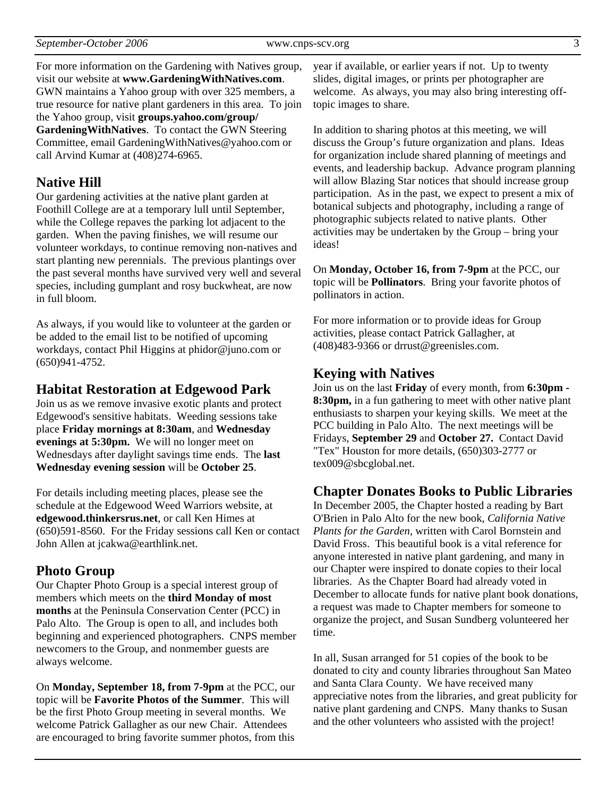For more information on the Gardening with Natives group, visit our website at **www.GardeningWithNatives.com**. GWN maintains a Yahoo group with over 325 members, a true resource for native plant gardeners in this area. To join the Yahoo group, visit **groups.yahoo.com/group/ GardeningWithNatives**. To contact the GWN Steering Committee, email GardeningWithNatives@yahoo.com or call Arvind Kumar at (408)274-6965.

### **Native Hill**

Our gardening activities at the native plant garden at Foothill College are at a temporary lull until September, while the College repaves the parking lot adjacent to the garden. When the paving finishes, we will resume our volunteer workdays, to continue removing non-natives and start planting new perennials. The previous plantings over the past several months have survived very well and several species, including gumplant and rosy buckwheat, are now in full bloom.

As always, if you would like to volunteer at the garden or be added to the email list to be notified of upcoming workdays, contact Phil Higgins at phidor@juno.com or (650)941-4752.

#### **Habitat Restoration at Edgewood Park**

Join us as we remove invasive exotic plants and protect Edgewood's sensitive habitats. Weeding sessions take place **Friday mornings at 8:30am**, and **Wednesday evenings at 5:30pm.** We will no longer meet on Wednesdays after daylight savings time ends. The **last Wednesday evening session** will be **October 25**.

For details including meeting places, please see the schedule at the Edgewood Weed Warriors website, at **edgewood.thinkersrus.net**, or call Ken Himes at (650)591-8560. For the Friday sessions call Ken or contact John Allen at jcakwa@earthlink.net.

### **Photo Group**

Our Chapter Photo Group is a special interest group of members which meets on the **third Monday of most months** at the Peninsula Conservation Center (PCC) in Palo Alto. The Group is open to all, and includes both beginning and experienced photographers. CNPS member newcomers to the Group, and nonmember guests are always welcome.

On **Monday, September 18, from 7-9pm** at the PCC, our topic will be **Favorite Photos of the Summer**. This will be the first Photo Group meeting in several months. We welcome Patrick Gallagher as our new Chair. Attendees are encouraged to bring favorite summer photos, from this year if available, or earlier years if not. Up to twenty slides, digital images, or prints per photographer are welcome. As always, you may also bring interesting offtopic images to share.

In addition to sharing photos at this meeting, we will discuss the Group's future organization and plans. Ideas for organization include shared planning of meetings and events, and leadership backup. Advance program planning will allow Blazing Star notices that should increase group participation. As in the past, we expect to present a mix of botanical subjects and photography, including a range of photographic subjects related to native plants. Other activities may be undertaken by the Group – bring your ideas!

On **Monday, October 16, from 7-9pm** at the PCC, our topic will be **Pollinators**. Bring your favorite photos of pollinators in action.

For more information or to provide ideas for Group activities, please contact Patrick Gallagher, at (408)483-9366 or drrust@greenisles.com.

### **Keying with Natives**

Join us on the last **Friday** of every month, from **6:30pm - 8:30pm,** in a fun gathering to meet with other native plant enthusiasts to sharpen your keying skills. We meet at the PCC building in Palo Alto. The next meetings will be Fridays, **September 29** and **October 27.** Contact David "Tex" Houston for more details, (650)303-2777 or tex009@sbcglobal.net.

#### **Chapter Donates Books to Public Libraries**

In December 2005, the Chapter hosted a reading by Bart O'Brien in Palo Alto for the new book, *California Native Plants for the Garden*, written with Carol Bornstein and David Fross. This beautiful book is a vital reference for anyone interested in native plant gardening, and many in our Chapter were inspired to donate copies to their local libraries. As the Chapter Board had already voted in December to allocate funds for native plant book donations, a request was made to Chapter members for someone to organize the project, and Susan Sundberg volunteered her time.

In all, Susan arranged for 51 copies of the book to be donated to city and county libraries throughout San Mateo and Santa Clara County. We have received many appreciative notes from the libraries, and great publicity for native plant gardening and CNPS. Many thanks to Susan and the other volunteers who assisted with the project!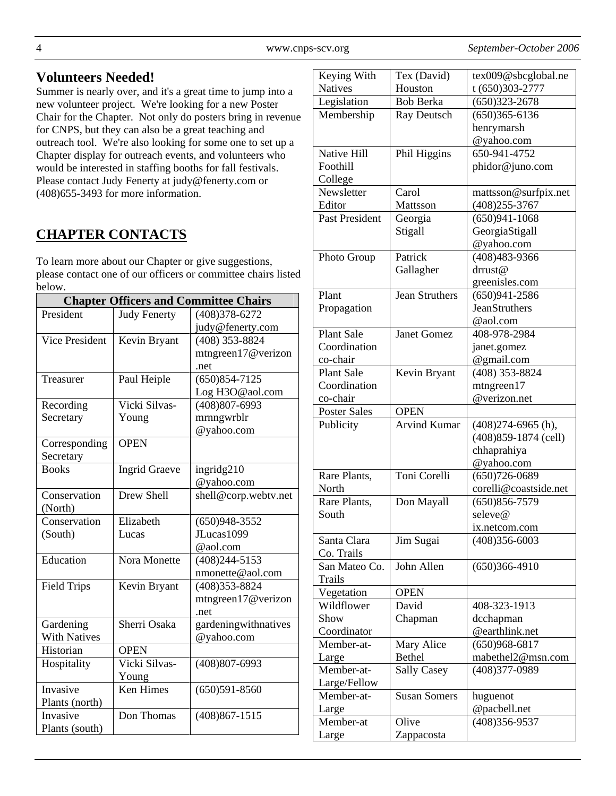4 www.cnps-scv.org *September-October 2006*

## **Volunteers Needed!**

Summer is nearly over, and it's a great time to jump into a new volunteer project. We're looking for a new Poster Chair for the Chapter. Not only do posters bring in revenue for CNPS, but they can also be a great teaching and outreach tool. We're also looking for some one to set up a Chapter display for outreach events, and volunteers who would be interested in staffing booths for fall festivals. Please contact Judy Fenerty at judy@fenerty.com or (408)655-3493 for more information.

# **CHAPTER CONTACTS**

To learn more about our Chapter or give suggestions, please contact one of our officers or committee chairs listed below.

| <b>Chapter Officers and Committee Chairs</b> |                      |                      |
|----------------------------------------------|----------------------|----------------------|
| President                                    | <b>Judy Fenerty</b>  | $(408)378 - 6272$    |
|                                              |                      | judy@fenerty.com     |
| <b>Vice President</b>                        | Kevin Bryant         | $(408)$ 353-8824     |
|                                              |                      | mtngreen17@verizon   |
|                                              |                      | .net                 |
| Treasurer                                    | Paul Heiple          | $(650)854 - 7125$    |
|                                              |                      | Log H3O@aol.com      |
| Recording                                    | Vicki Silvas-        | $(408)807 - 6993$    |
| Secretary                                    | Young                | mrnngwrblr           |
|                                              |                      | @yahoo.com           |
| Corresponding                                | <b>OPEN</b>          |                      |
| Secretary                                    |                      |                      |
| <b>Books</b>                                 | <b>Ingrid Graeve</b> | ingridg210           |
|                                              |                      | @yahoo.com           |
| Conservation                                 | Drew Shell           | shell@corp.webtv.net |
| (North)                                      |                      |                      |
| Conservation                                 | Elizabeth            | $(650)948 - 3552$    |
| (South)                                      | Lucas                | JLucas1099           |
|                                              |                      | @aol.com             |
| Education                                    | Nora Monette         | $(408)244 - 5153$    |
|                                              |                      | nmonette@aol.com     |
| <b>Field Trips</b>                           | Kevin Bryant         | $(408)353 - 8824$    |
|                                              |                      | mtngreen17@verizon   |
|                                              |                      | .net                 |
| Gardening                                    | Sherri Osaka         | gardeningwithnatives |
| <b>With Natives</b>                          |                      | @yahoo.com           |
| Historian                                    | <b>OPEN</b>          |                      |
| Hospitality                                  | Vicki Silvas-        | $(408)807 - 6993$    |
|                                              | Young                |                      |
| Invasive                                     | <b>Ken Himes</b>     | $(650)591 - 8560$    |
| Plants (north)                               |                      |                      |
| Invasive                                     | Don Thomas           | $(408)867 - 1515$    |
| Plants (south)                               |                      |                      |

| Keying With           | Tex (David)           | tex009@sbcglobal.ne    |
|-----------------------|-----------------------|------------------------|
| <b>Natives</b>        | Houston               | t (650)303-2777        |
| Legislation           | <b>Bob Berka</b>      | $(650)323 - 2678$      |
| Membership            | Ray Deutsch           | $(650)365 - 6136$      |
|                       |                       | henrymarsh             |
|                       |                       | @yahoo.com             |
| Native Hill           | Phil Higgins          | 650-941-4752           |
| Foothill              |                       | phidor@juno.com        |
| College               |                       |                        |
| Newsletter            | Carol                 | mattsson@surfpix.net   |
| Editor                | Mattsson              | $(408)255 - 3767$      |
| <b>Past President</b> | Georgia               | $(650)941 - 1068$      |
|                       | Stigall               | GeorgiaStigall         |
|                       |                       |                        |
|                       |                       | @yahoo.com             |
| Photo Group           | Patrick               | (408)483-9366          |
|                       | Gallagher             | drrust@                |
|                       |                       | greenisles.com         |
| Plant                 | <b>Jean Struthers</b> | $(650)941 - 2586$      |
| Propagation           |                       | <b>JeanStruthers</b>   |
|                       |                       | @aol.com               |
| <b>Plant Sale</b>     | <b>Janet Gomez</b>    | 408-978-2984           |
| Coordination          |                       | janet.gomez            |
| co-chair              |                       | @gmail.com             |
| <b>Plant Sale</b>     | Kevin Bryant          | (408) 353-8824         |
| Coordination          |                       | mtngreen17             |
| co-chair              |                       | @verizon.net           |
|                       |                       |                        |
|                       |                       |                        |
| <b>Poster Sales</b>   | <b>OPEN</b>           |                        |
| Publicity             | <b>Arvind Kumar</b>   | $(408)274-6965$ (h),   |
|                       |                       | $(408)859-1874$ (cell) |
|                       |                       | chhaprahiya            |
|                       |                       | @yahoo.com             |
| Rare Plants,          | Toni Corelli          | $(650)726 - 0689$      |
| North                 |                       | corelli@coastside.net  |
| Rare Plants,          | Don Mayall            | $(650)856 - 7579$      |
| South                 |                       | seleve@                |
|                       |                       | ix.netcom.com          |
| Santa Clara           | Jim Sugai             | $(408)356 - 6003$      |
|                       |                       |                        |
| Co. Trails            | John Allen            |                        |
| San Mateo Co.         |                       | $(650)366-4910$        |
| <b>Trails</b>         |                       |                        |
| Vegetation            | <b>OPEN</b>           |                        |
| Wildflower            | David                 | 408-323-1913           |
| Show                  | Chapman               | dcchapman              |
| Coordinator           |                       | @earthlink.net         |
| Member-at-            | Mary Alice            | $(650)968 - 6817$      |
| Large                 | <b>Bethel</b>         | mabethel2@msn.com      |
| Member-at-            | <b>Sally Casey</b>    | (408)377-0989          |
| Large/Fellow          |                       |                        |
| Member-at-            | <b>Susan Somers</b>   | huguenot               |
| Large                 |                       | @pacbell.net           |
| Member-at             | Olive                 | (408) 356-9537         |
| Large                 | Zappacosta            |                        |